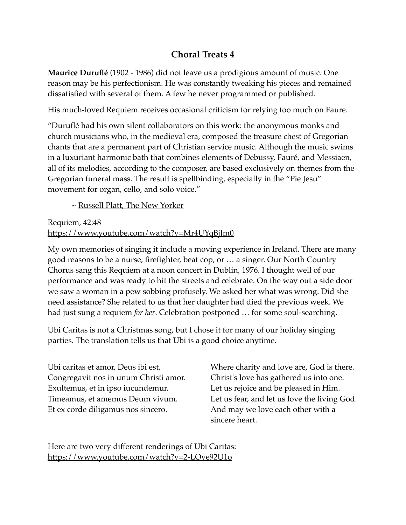## **Choral Treats 4**

**Maurice Duruflé** (1902 - 1986) did not leave us a prodigious amount of music. One reason may be his perfectionism. He was constantly tweaking his pieces and remained dissatisfied with several of them. A few he never programmed or published.

His much-loved Requiem receives occasional criticism for relying too much on Faure.

"Duruflé had his own silent collaborators on this work: the anonymous monks and church musicians who, in the medieval era, composed the treasure chest of Gregorian chants that are a permanent part of Christian service music. Although the music swims in a luxuriant harmonic bath that combines elements of Debussy, Fauré, and Messiaen, all of its melodies, according to the composer, are based exclusively on themes from the Gregorian funeral mass. The result is spellbinding, especially in the "Pie Jesu" movement for organ, cello, and solo voice."

~ [Russell Platt, The New Yorker](https://www.newyorker.com/culture/culture-desk/elegant-theft-maurice-durufls-requiem)

Requiem, 42:48 <https://www.youtube.com/watch?v=Mr4UYqBjJm0>

My own memories of singing it include a moving experience in Ireland. There are many good reasons to be a nurse, firefighter, beat cop, or … a singer. Our North Country Chorus sang this Requiem at a noon concert in Dublin, 1976. I thought well of our performance and was ready to hit the streets and celebrate. On the way out a side door we saw a woman in a pew sobbing profusely. We asked her what was wrong. Did she need assistance? She related to us that her daughter had died the previous week. We had just sung a requiem *for her*. Celebration postponed … for some soul-searching.

Ubi Caritas is not a Christmas song, but I chose it for many of our holiday singing parties. The translation tells us that Ubi is a good choice anytime.

Ubi caritas et amor, Deus ibi est. Congregavit nos in unum Christi amor. Exultemus, et in ipso iucundemur. Timeamus, et amemus Deum vivum. Et ex corde diligamus nos sincero.

Where charity and love are, God is there. Christ's love has gathered us into one. Let us rejoice and be pleased in Him. Let us fear, and let us love the living God. And may we love each other with a sincere heart.

Here are two very different renderings of Ubi Caritas: <https://www.youtube.com/watch?v=2-LQve92U1o>